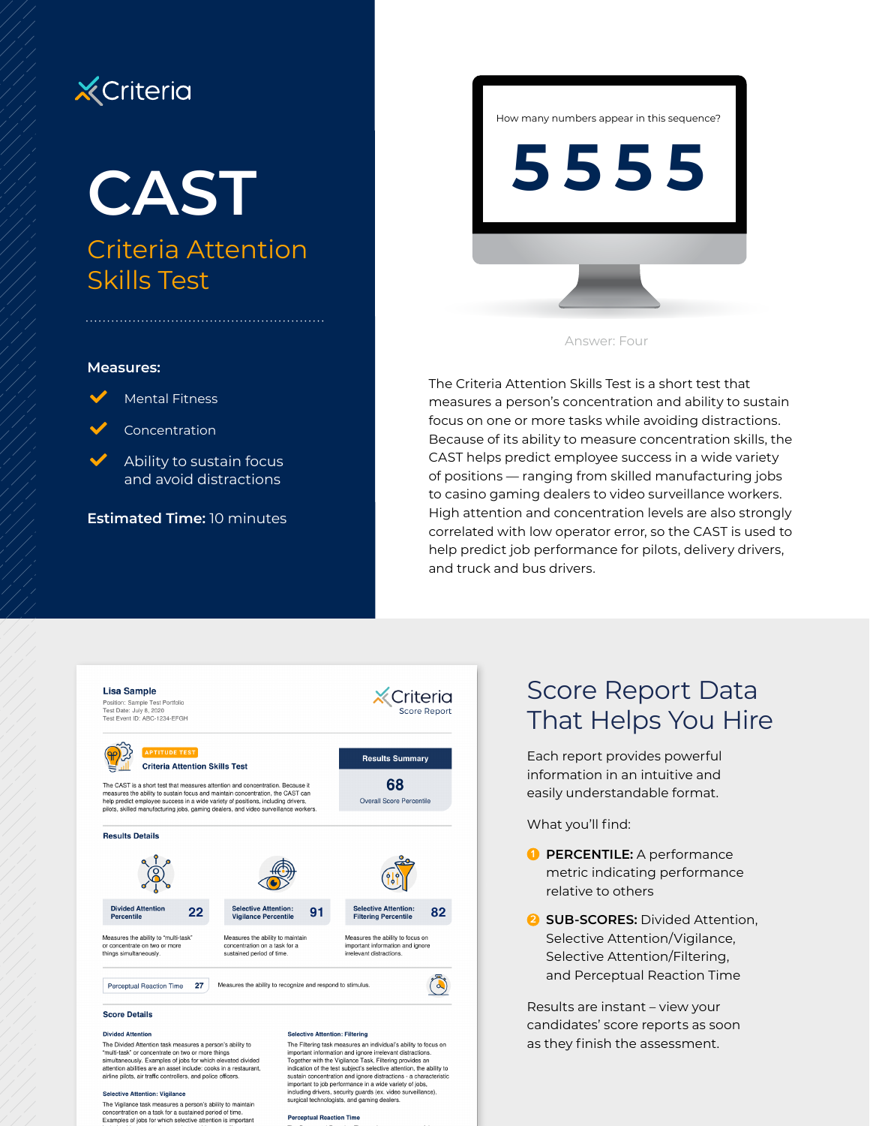## **X** Criteria

# **CAST** Criteria Attention Skills Test

#### **Measures:**



Concentration

**Mental Fitness** 

 $\blacktriangleright$  Ability to sustain focus and avoid distractions

**Estimated Time:** 10 minutes

How many numbers appear in this sequence?

**5555**



The Criteria Attention Skills Test is a short test that measures a person's concentration and ability to sustain focus on one or more tasks while avoiding distractions. Because of its ability to measure concentration skills, the CAST helps predict employee success in a wide variety of positions — ranging from skilled manufacturing jobs to casino gaming dealers to video surveillance workers. High attention and concentration levels are also strongly correlated with low operator error, so the CAST is used to help predict job performance for pilots, delivery drivers, and truck and bus drivers.



## Score Report Data That Helps You Hire

Each report provides powerful information in an intuitive and easily understandable format.

What you'll find:

- **1 PERCENTILE:** A performance metric indicating performance relative to others
- **2 SUB-SCORES:** Divided Attention. Selective Attention/Vigilance, Selective Attention/Filtering, and Perceptual Reaction Time

Results are instant – view your candidates' score reports as soon as they finish the assessment.

attention abilities are an asset include: cooks in a restaurant. airline pilots, air traffic controllers, and police officers

#### **Selective Attention: Vigilance**

The Vigilance task measures a person's ability to maintain concentration on a task for a sustained period of time. Examples of jobs for which selective attention is important

important information and ignore irrelevant distractions.<br>Together with the Vigilance Task, Filtering provides an indication of the test subject's selective attention, the ability to nunciation con un eras auspecia seneculor attachemento, nel animalization concentration and ignore distractions - a character<br>including drivers, security guards (ex. video surveillance),<br>including drivers, security guards

**Percentual Reaction Time**